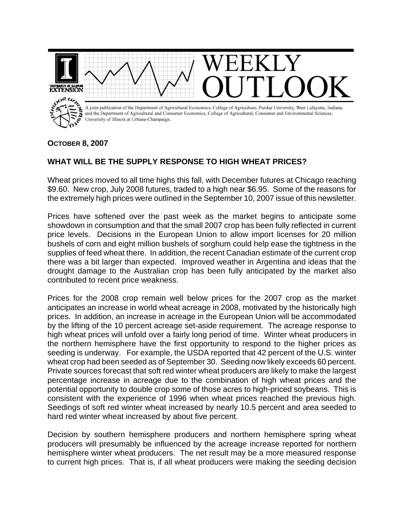

## **OCTOBER 8, 2007**

## **WHAT WILL BE THE SUPPLY RESPONSE TO HIGH WHEAT PRICES?**

Wheat prices moved to all time highs this fall, with December futures at Chicago reaching \$9.60. New crop, July 2008 futures, traded to a high near \$6.95. Some of the reasons for the extremely high prices were outlined in the September 10, 2007 issue of this newsletter.

Prices have softened over the past week as the market begins to anticipate some showdown in consumption and that the small 2007 crop has been fully reflected in current price levels. Decisions in the European Union to allow import licenses for 20 million bushels of corn and eight million bushels of sorghum could help ease the tightness in the supplies of feed wheat there. In addition, the recent Canadian estimate of the current crop there was a bit larger than expected. Improved weather in Argentina and ideas that the drought damage to the Australian crop has been fully anticipated by the market also contributed to recent price weakness.

Prices for the 2008 crop remain well below prices for the 2007 crop as the market anticipates an increase in world wheat acreage in 2008, motivated by the historically high prices. In addition, an increase in acreage in the European Union will be accommodated by the lifting of the 10 percent acreage set-aside requirement. The acreage response to high wheat prices will unfold over a fairly long period of time. Winter wheat producers in the northern hemisphere have the first opportunity to respond to the higher prices as seeding is underway. For example, the USDA reported that 42 percent of the U.S. winter wheat crop had been seeded as of September 30. Seeding now likely exceeds 60 percent. Private sources forecast that soft red winter wheat producers are likely to make the largest percentage increase in acreage due to the combination of high wheat prices and the potential opportunity to double crop some of those acres to high-priced soybeans. This is consistent with the experience of 1996 when wheat prices reached the previous high. Seedings of soft red winter wheat increased by nearly 10.5 percent and area seeded to hard red winter wheat increased by about five percent.

Decision by southern hemisphere producers and northern hemisphere spring wheat producers will presumably be influenced by the acreage increase reported for northern hemisphere winter wheat producers. The net result may be a more measured response to current high prices. That is, if all wheat producers were making the seeding decision